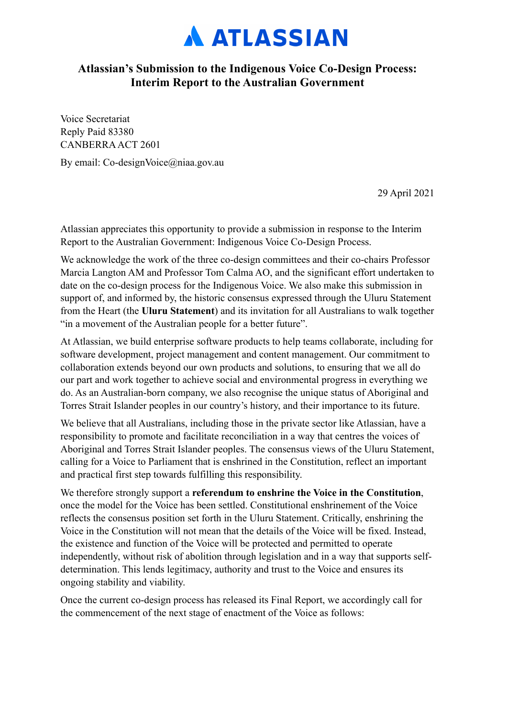

## **Atlassian's Submission to the Indigenous Voice Co-Design Process: Interim Report to the Australian Government**

Voice Secretariat Reply Paid 83380 CANBERRA ACT 2601

By email: Co-designVoice@niaa.gov.au

29 April 2021

Atlassian appreciates this opportunity to provide a submission in response to the Interim Report to the Australian Government: Indigenous Voice Co-Design Process.

We acknowledge the work of the three co-design committees and their co-chairs Professor Marcia Langton AM and Professor Tom Calma AO, and the significant effort undertaken to date on the co-design process for the Indigenous Voice. We also make this submission in support of, and informed by, the historic consensus expressed through the Uluru Statement from the Heart (the **Uluru Statement**) and its invitation for all Australians to walk together "in a movement of the Australian people for a better future".

At Atlassian, we build enterprise software products to help teams collaborate, including for software development, project management and content management. Our commitment to collaboration extends beyond our own products and solutions, to ensuring that we all do our part and work together to achieve social and environmental progress in everything we do. As an Australian-born company, we also recognise the unique status of Aboriginal and Torres Strait Islander peoples in our country's history, and their importance to its future.

We believe that all Australians, including those in the private sector like Atlassian, have a responsibility to promote and facilitate reconciliation in a way that centres the voices of Aboriginal and Torres Strait Islander peoples. The consensus views of the Uluru Statement, calling for a Voice to Parliament that is enshrined in the Constitution, reflect an important and practical first step towards fulfilling this responsibility.

We therefore strongly support a **referendum to enshrine the Voice in the Constitution**, once the model for the Voice has been settled. Constitutional enshrinement of the Voice reflects the consensus position set forth in the Uluru Statement. Critically, enshrining the Voice in the Constitution will not mean that the details of the Voice will be fixed. Instead, the existence and function of the Voice will be protected and permitted to operate independently, without risk of abolition through legislation and in a way that supports selfdetermination. This lends legitimacy, authority and trust to the Voice and ensures its ongoing stability and viability.

Once the current co-design process has released its Final Report, we accordingly call for the commencement of the next stage of enactment of the Voice as follows: